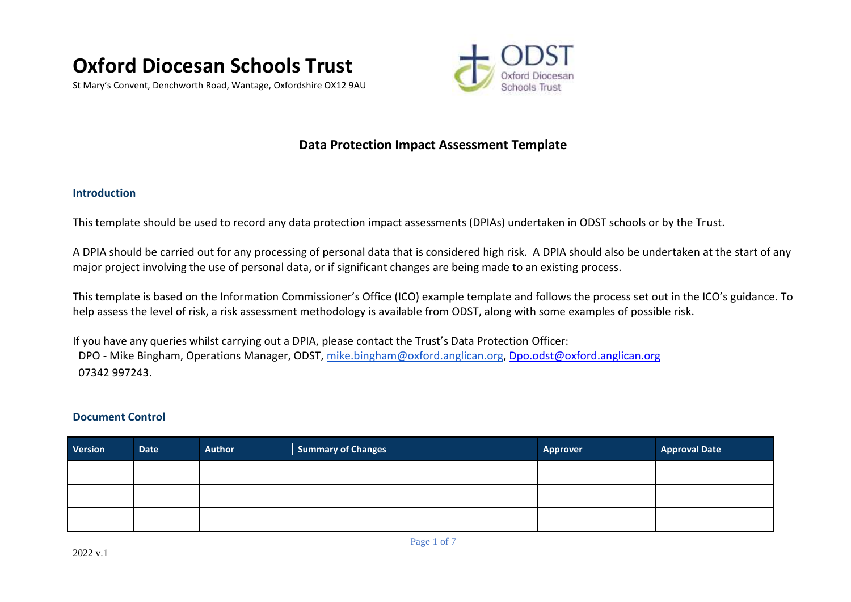

St Mary's Convent, Denchworth Road, Wantage, Oxfordshire OX12 9AU



## **Data Protection Impact Assessment Template**

## **Introduction**

This template should be used to record any data protection impact assessments (DPIAs) undertaken in ODST schools or by the Trust.

A DPIA should be carried out for any processing of personal data that is considered high risk. A DPIA should also be undertaken at the start of any major project involving the use of personal data, or if significant changes are being made to an existing process.

This template is based on the Information Commissioner's Office (ICO) example template and follows the process set out in the ICO's guidance. To help assess the level of risk, a risk assessment methodology is available from ODST, along with some examples of possible risk.

If you have any queries whilst carrying out a DPIA, please contact the Trust's Data Protection Officer: DPO - Mike Bingham, Operations Manager, ODST, [mike.bingham@oxford.anglican.org,](mailto:mike.bingham@oxford.anglican.org) [Dpo.odst@oxford.anglican.org](mailto:Dpo.odst@oxford.anglican.org) 07342 997243.

## **Document Control**

| Version | Date | <b>Author</b> | <b>Summary of Changes</b> | <b>Approver</b> | <b>Approval Date</b> |
|---------|------|---------------|---------------------------|-----------------|----------------------|
|         |      |               |                           |                 |                      |
|         |      |               |                           |                 |                      |
|         |      |               |                           |                 |                      |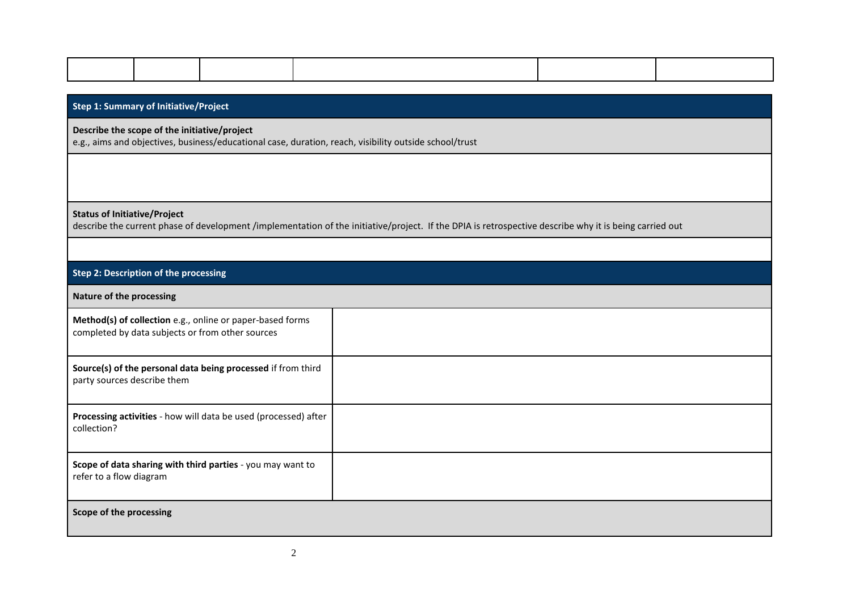|                                     | <b>Step 1: Summary of Initiative/Project</b>                                                                  |                                                                                                        |  |  |  |  |                                                                                                                                                        |  |
|-------------------------------------|---------------------------------------------------------------------------------------------------------------|--------------------------------------------------------------------------------------------------------|--|--|--|--|--------------------------------------------------------------------------------------------------------------------------------------------------------|--|
|                                     | Describe the scope of the initiative/project                                                                  | e.g., aims and objectives, business/educational case, duration, reach, visibility outside school/trust |  |  |  |  |                                                                                                                                                        |  |
|                                     |                                                                                                               |                                                                                                        |  |  |  |  |                                                                                                                                                        |  |
|                                     |                                                                                                               |                                                                                                        |  |  |  |  |                                                                                                                                                        |  |
| <b>Status of Initiative/Project</b> |                                                                                                               |                                                                                                        |  |  |  |  | describe the current phase of development /implementation of the initiative/project. If the DPIA is retrospective describe why it is being carried out |  |
|                                     |                                                                                                               |                                                                                                        |  |  |  |  |                                                                                                                                                        |  |
|                                     | Step 2: Description of the processing                                                                         |                                                                                                        |  |  |  |  |                                                                                                                                                        |  |
| Nature of the processing            |                                                                                                               |                                                                                                        |  |  |  |  |                                                                                                                                                        |  |
|                                     | Method(s) of collection e.g., online or paper-based forms<br>completed by data subjects or from other sources |                                                                                                        |  |  |  |  |                                                                                                                                                        |  |
|                                     | Source(s) of the personal data being processed if from third<br>party sources describe them                   |                                                                                                        |  |  |  |  |                                                                                                                                                        |  |
| collection?                         | Processing activities - how will data be used (processed) after                                               |                                                                                                        |  |  |  |  |                                                                                                                                                        |  |
| refer to a flow diagram             |                                                                                                               | Scope of data sharing with third parties - you may want to                                             |  |  |  |  |                                                                                                                                                        |  |
| Scope of the processing             |                                                                                                               |                                                                                                        |  |  |  |  |                                                                                                                                                        |  |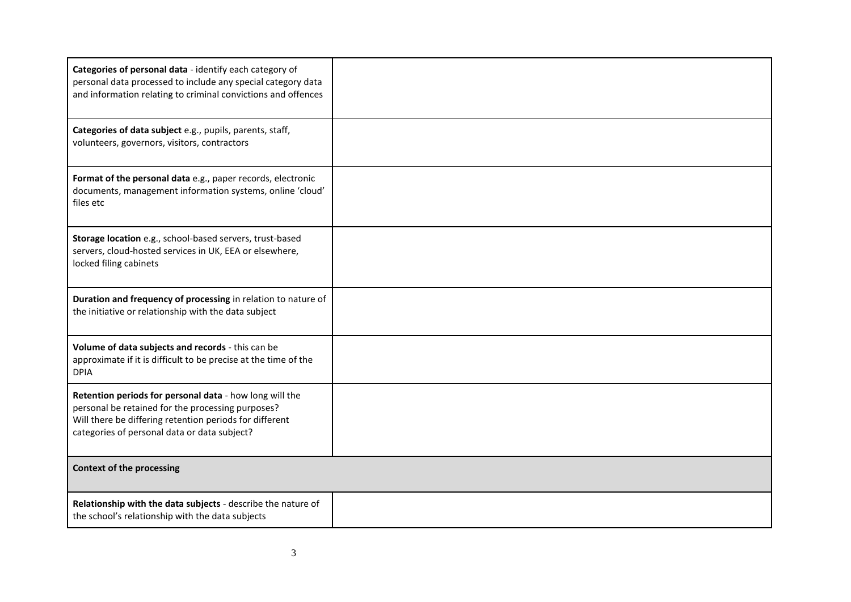| Categories of personal data - identify each category of<br>personal data processed to include any special category data<br>and information relating to criminal convictions and offences                                |  |
|-------------------------------------------------------------------------------------------------------------------------------------------------------------------------------------------------------------------------|--|
| Categories of data subject e.g., pupils, parents, staff,<br>volunteers, governors, visitors, contractors                                                                                                                |  |
| Format of the personal data e.g., paper records, electronic<br>documents, management information systems, online 'cloud'<br>files etc                                                                                   |  |
| Storage location e.g., school-based servers, trust-based<br>servers, cloud-hosted services in UK, EEA or elsewhere,<br>locked filing cabinets                                                                           |  |
| Duration and frequency of processing in relation to nature of<br>the initiative or relationship with the data subject                                                                                                   |  |
| Volume of data subjects and records - this can be<br>approximate if it is difficult to be precise at the time of the<br><b>DPIA</b>                                                                                     |  |
| Retention periods for personal data - how long will the<br>personal be retained for the processing purposes?<br>Will there be differing retention periods for different<br>categories of personal data or data subject? |  |
| <b>Context of the processing</b>                                                                                                                                                                                        |  |
| Relationship with the data subjects - describe the nature of<br>the school's relationship with the data subjects                                                                                                        |  |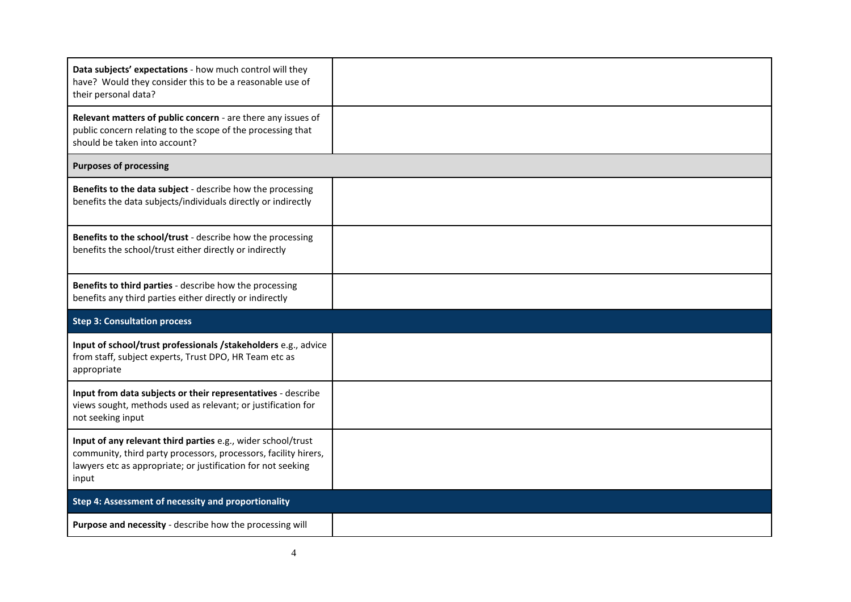| Data subjects' expectations - how much control will they<br>have? Would they consider this to be a reasonable use of<br>their personal data?                                                             |  |  |  |
|----------------------------------------------------------------------------------------------------------------------------------------------------------------------------------------------------------|--|--|--|
| Relevant matters of public concern - are there any issues of<br>public concern relating to the scope of the processing that<br>should be taken into account?                                             |  |  |  |
| <b>Purposes of processing</b>                                                                                                                                                                            |  |  |  |
| Benefits to the data subject - describe how the processing<br>benefits the data subjects/individuals directly or indirectly                                                                              |  |  |  |
| Benefits to the school/trust - describe how the processing<br>benefits the school/trust either directly or indirectly                                                                                    |  |  |  |
| Benefits to third parties - describe how the processing<br>benefits any third parties either directly or indirectly                                                                                      |  |  |  |
| <b>Step 3: Consultation process</b>                                                                                                                                                                      |  |  |  |
| Input of school/trust professionals / stakeholders e.g., advice<br>from staff, subject experts, Trust DPO, HR Team etc as<br>appropriate                                                                 |  |  |  |
| Input from data subjects or their representatives - describe<br>views sought, methods used as relevant; or justification for<br>not seeking input                                                        |  |  |  |
| Input of any relevant third parties e.g., wider school/trust<br>community, third party processors, processors, facility hirers,<br>lawyers etc as appropriate; or justification for not seeking<br>input |  |  |  |
| Step 4: Assessment of necessity and proportionality                                                                                                                                                      |  |  |  |
| Purpose and necessity - describe how the processing will                                                                                                                                                 |  |  |  |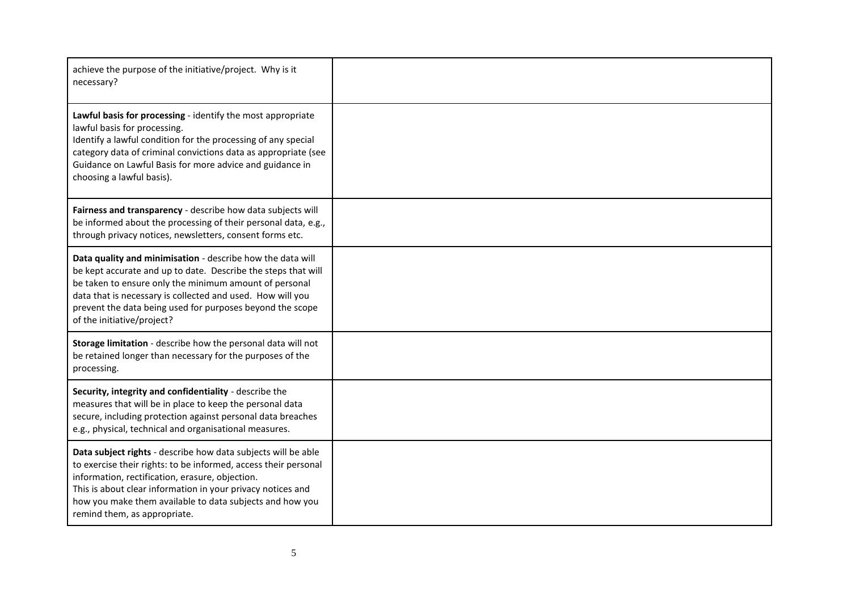| achieve the purpose of the initiative/project. Why is it<br>necessary?                                                                                                                                                                                                                                                                         |  |
|------------------------------------------------------------------------------------------------------------------------------------------------------------------------------------------------------------------------------------------------------------------------------------------------------------------------------------------------|--|
| Lawful basis for processing - identify the most appropriate<br>lawful basis for processing.<br>Identify a lawful condition for the processing of any special<br>category data of criminal convictions data as appropriate (see<br>Guidance on Lawful Basis for more advice and guidance in<br>choosing a lawful basis).                        |  |
| Fairness and transparency - describe how data subjects will<br>be informed about the processing of their personal data, e.g.,<br>through privacy notices, newsletters, consent forms etc.                                                                                                                                                      |  |
| Data quality and minimisation - describe how the data will<br>be kept accurate and up to date. Describe the steps that will<br>be taken to ensure only the minimum amount of personal<br>data that is necessary is collected and used. How will you<br>prevent the data being used for purposes beyond the scope<br>of the initiative/project? |  |
| Storage limitation - describe how the personal data will not<br>be retained longer than necessary for the purposes of the<br>processing.                                                                                                                                                                                                       |  |
| Security, integrity and confidentiality - describe the<br>measures that will be in place to keep the personal data<br>secure, including protection against personal data breaches<br>e.g., physical, technical and organisational measures.                                                                                                    |  |
| Data subject rights - describe how data subjects will be able<br>to exercise their rights: to be informed, access their personal<br>information, rectification, erasure, objection.<br>This is about clear information in your privacy notices and<br>how you make them available to data subjects and how you<br>remind them, as appropriate. |  |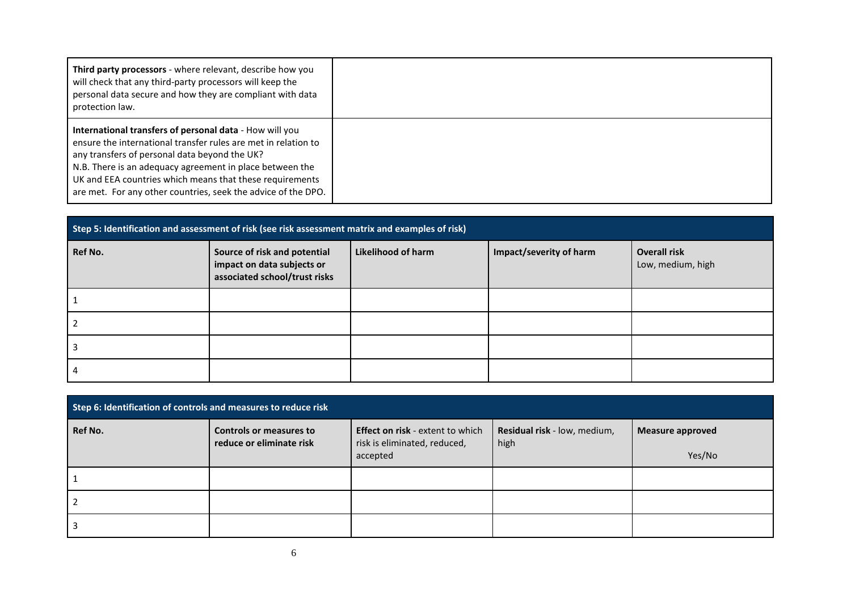| Third party processors - where relevant, describe how you<br>will check that any third-party processors will keep the<br>personal data secure and how they are compliant with data<br>protection law.                                                                                                                                                               |  |
|---------------------------------------------------------------------------------------------------------------------------------------------------------------------------------------------------------------------------------------------------------------------------------------------------------------------------------------------------------------------|--|
| International transfers of personal data - How will you<br>ensure the international transfer rules are met in relation to<br>any transfers of personal data beyond the UK?<br>N.B. There is an adequacy agreement in place between the<br>UK and EEA countries which means that these requirements<br>are met. For any other countries, seek the advice of the DPO. |  |

|         | Step 5: Identification and assessment of risk (see risk assessment matrix and examples of risk) |                    |                         |                                          |  |
|---------|-------------------------------------------------------------------------------------------------|--------------------|-------------------------|------------------------------------------|--|
| Ref No. | Source of risk and potential<br>impact on data subjects or<br>associated school/trust risks     | Likelihood of harm | Impact/severity of harm | <b>Overall risk</b><br>Low, medium, high |  |
|         |                                                                                                 |                    |                         |                                          |  |
|         |                                                                                                 |                    |                         |                                          |  |
|         |                                                                                                 |                    |                         |                                          |  |
|         |                                                                                                 |                    |                         |                                          |  |

| Step 6: Identification of controls and measures to reduce risk |                          |                                          |                              |                         |
|----------------------------------------------------------------|--------------------------|------------------------------------------|------------------------------|-------------------------|
| Ref No.                                                        | Controls or measures to  | <b>Effect on risk</b> - extent to which  | Residual risk - low, medium, | <b>Measure approved</b> |
|                                                                | reduce or eliminate risk | risk is eliminated, reduced,<br>accepted | high                         | Yes/No                  |
|                                                                |                          |                                          |                              |                         |
|                                                                |                          |                                          |                              |                         |
|                                                                |                          |                                          |                              |                         |